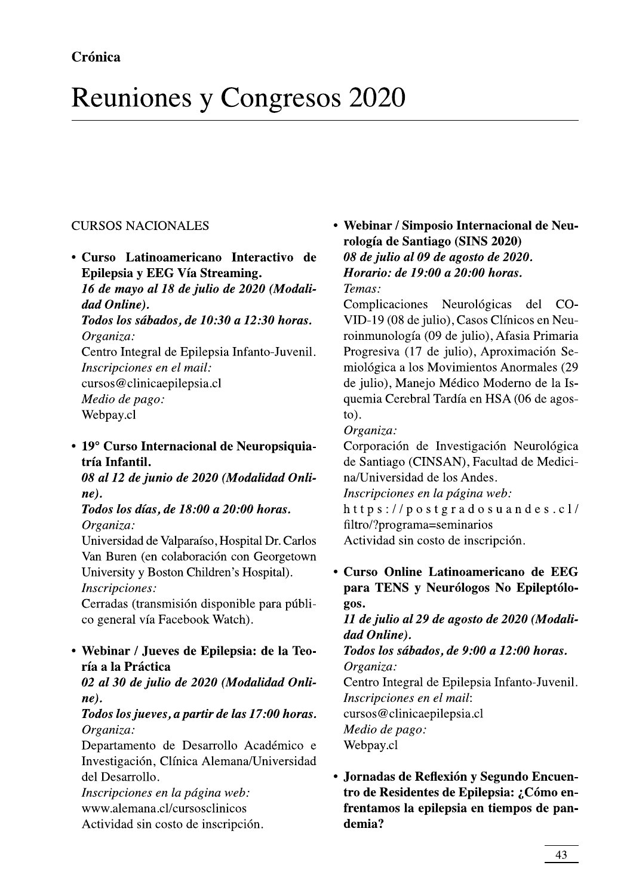# Reuniones y Congresos 2020

## CURSOS NACIONALES

! "#\$%&'( )\*+),-)./01)/2)\*3),-)45261),-)7878)9:1,/26; ,/,)<=26=->? )@1,1A)21A)ABC/,1AD),-)\*8EF8)/)\*7EF8)G1H/A? IJKLMNOPMQ -

entro Integral de Epilepsia Infanto-Juvenil. Inscripciones en el mail: cursos@clinicaepilepsia.cl

Medio de pago: Webpay.cl

### • 19° Curso Internacional de Neuropsiquiatría Infantil.

08 al 12 de junio de 2020 (Modalidad Onli $ne$ ).

Todos los días, de 18:00 a 20:00 horas. Organiza:

Universidad de Valparaiso, Hospital Dr. Carlos Van Buren (en colaboración con Georgetown University y Boston Children's Hospital). Inscripciones:

Cerradas (transmisión disponible para público general vía Facebook Watch).

### • Webinar / Jueves de Epilepsia: de la Teoría a la Práctica

02 al 30 de julio de 2020 (Modalidad Onli $ne$ ).

### Todos los jueves, a partir de las 17:00 horas. Organiza:

Departamento de Desarrollo Académico e Investigación, Clínica Alemana/Universidad del Desarrollo.

Inscripciones en la página web: www.alemana.cl/cursosclinicos Actividad sin costo de inscripción.

Webinar / Simposio Internacional de Neu-<br>
rología de Santiago (SINS 2020)<br>
Interactivo de 08 de julio al 09 de agosto de 2020.<br>
ning. Horario: de 19:00 a 20:00 horas.<br>
2020 (Modali-Temas:<br>
Complicaciones Neurológicas del C omplicaciones Neurologicas del CO-VID-19 (08 de julio), Casos Clínicos en Neuroinmunología (09 de julio), Afasia Primaria Progresiva (17 de julio), Aproximación Semiológica a los Movimientos Anormales (29 de julio), Manejo Médico Moderno de la Isquemia Cerebral Tardia en HSA (06 de agos- $\text{to}$ ).

### Organiza:

Corporación de Investigación Neurológica de Santiago (CINSAN), Facultad de Medicina/Universidad de los Andes. Inscripciones en la página web:  $https://postgra dosuandes.c1/$ filtro/?programa=seminarios<br>Actividad sin costo de inscripción. *Modalidad Onli*<br>  $\mu$  (*Modalidad Onli-<br>*  $\mu$ *scripcions en la página veb:*<br>  $\mu$  20:00 horas.<br>  $\mu$  t t p s : / p o s t g r a d o s u a n d e s . c 1 /<br>
filtro/?programa=seminarios<br>  $\mu$ , Hospital Dr. Carlos<br>
Actividad s

entro Integral de Epilepsia Infanto-Juvenil. Inscripciones en el mail: cursos@clinicaepilepsia.cl Medio de pago:

Webpay.cl

• Jornadas de Reflexión y Segundo Encuentro de Residentes de Epilepsia: ¿Cómo enfrentamos la epilepsia en tiempos de pandemia?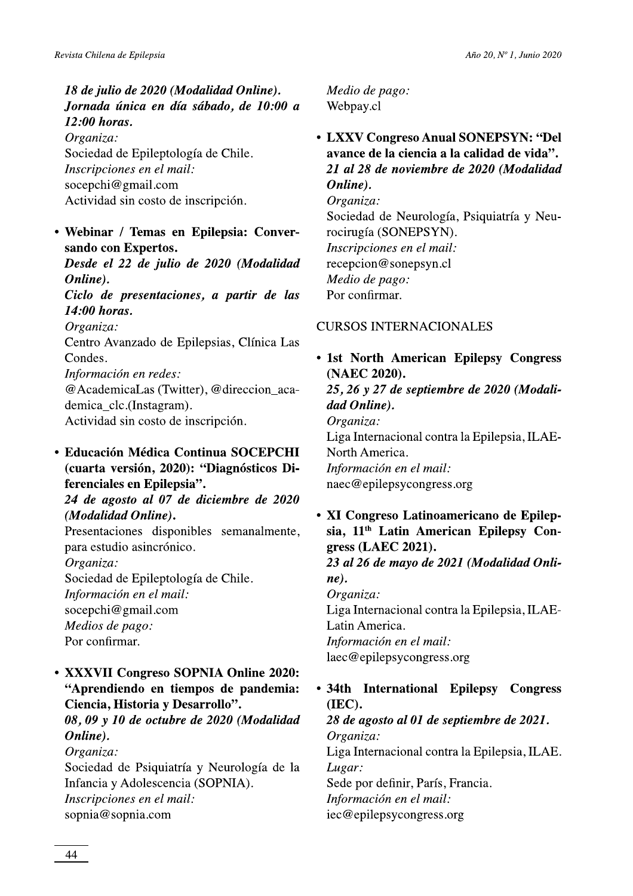18 de julio de 2020 (Modalidad Online). Jornada única en día sábado, de 10:00 a 12:00 horas. Organiza: Sociedad de Epileptología de Chile.

Inscripciones en el mail: socepchi@gmail.com Actividad sin costo de inscripción.

### • Webinar / Temas en Epilepsia: Conversando con Expertos.

Desde el 22 de julio de 2020 (Modalidad Online). Ciclo de presentaciones, a partir de las 14:00 horas. Organiza: Centro Avanzado de Epilepsias, Clínica Las Condes. Información en redes: @AcademicaLas (Twitter), @direccion\_academica clc.(Instagram).

Actividad sin costo de inscripción.

**• Educación Médica Continua SOCEPCHI** (cuarta versión, 2020): "Diagnósticos Diferenciales en Epilepsia".

24 de agosto al 07 de diciembre de 2020 (Modalidad Online).

Presentaciones disponibles semanalmente, para estudio asincrónico.

Organiza: Sociedad de Epileptología de Chile.

Información en el mail: socepchi@gmail.com Medios de pago: Por confirmar.

• XXXVII Congreso SOPNIA Online 2020: "Aprendiendo en tiempos de pandemia: Ciencia, Historia y Desarrollo".

08, 09 y 10 de octubre de 2020 (Modalidad Online).

Organiza: Sociedad de Psiquiatría y Neurología de la Infancia y Adolescencia (SOPNIA). Inscripciones en el mail: sopnia@sopnia.com

Medio de pago: Webpay.cl

• LXXV Congreso Anual SONEPSYN: "Del avance de la ciencia a la calidad de vida". 21 al 28 de noviembre de 2020 (Modalidad Online). Organiza: Sociedad de Neurología, Psiquiatría y Neurocirugía (SONEPSYN). Inscripciones en el mail: recepcion@sonepsyn.cl Medio de pago: Por confirmar.

### **CURSOS INTERNACIONALES**

• 1st North American Epilepsy Congress (NAEC 2020). 25, 26 y 27 de septiembre de 2020 (Modali-

dad Online). Organiza: Liga Internacional contra la Epilepsia, ILAE-North America. Información en el mail: naec@epilepsycongress.org

· XI Congreso Latinoamericano de Epilepsia, 11<sup>th</sup> Latin American Epilepsy Congress (LAEC 2021).

23 al 26 de mayo de 2021 (Modalidad Onli $ne)$ .

Organiza: Liga Internacional contra la Epilepsia, ILAE-Latin America. Información en el mail: laec@epilepsycongress.org

• 34th International Epilepsy **Congress** (IEC). 28 de agosto al 01 de septiembre de 2021. Organiza: Liga Internacional contra la Epilepsia, ILAE. Lugar: Sede por definir, París, Francia. Información en el mail: iec@epilepsycongress.org